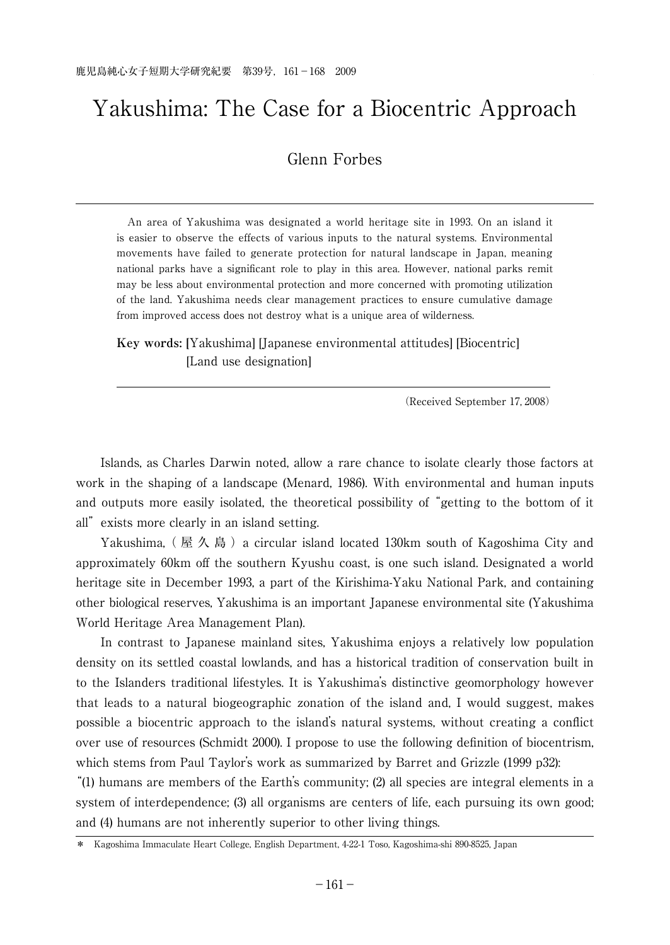# Yakushima: The Case for a Biocentric Approach

# Glenn Forbes

<u> La componenta de la componenta de la componenta de la componenta de la componenta de la componenta de la comp</u>

 An area of Yakushima was designated a world heritage site in 1993. On an island it is easier to observe the effects of various inputs to the natural systems. Environmental movements have failed to generate protection for natural landscape in Japan, meaning national parks have a significant role to play in this area. However, national parks remit may be less about environmental protection and more concerned with promoting utilization of the land. Yakushima needs clear management practices to ensure cumulative damage from improved access does not destroy what is a unique area of wilderness.

**Key words: [**Yakushima] [Japanese environmental attitudes] [Biocentric] [Land use designation]

(Received September 17, 2008)

 Islands, as Charles Darwin noted, allow a rare chance to isolate clearly those factors at work in the shaping of a landscape (Menard, 1986). With environmental and human inputs and outputs more easily isolated, the theoretical possibility of "getting to the bottom of it all"exists more clearly in an island setting.

Yakushima, (屋久島) a circular island located 130km south of Kagoshima City and approximately 60km off the southern Kyushu coast, is one such island. Designated a world heritage site in December 1993, a part of the Kirishima-Yaku National Park, and containing other biological reserves, Yakushima is an important Japanese environmental site (Yakushima World Heritage Area Management Plan).

 In contrast to Japanese mainland sites, Yakushima enjoys a relatively low population density on its settled coastal lowlands, and has a historical tradition of conservation built in to the Islanders traditional lifestyles. It is Yakushima's distinctive geomorphology however that leads to a natural biogeographic zonation of the island and, I would suggest, makes possible a biocentric approach to the island's natural systems, without creating a conflict over use of resources (Schmidt 2000). I propose to use the following definition of biocentrism, which stems from Paul Taylor's work as summarized by Barret and Grizzle (1999 p32):

"(1) humans are members of the Earth's community; (2) all species are integral elements in a system of interdependence; (3) all organisms are centers of life, each pursuing its own good; and (4) humans are not inherently superior to other living things.

<sup>\*</sup> Kagoshima Immaculate Heart College, English Department, 4-22-1 Toso, Kagoshima-shi 890-8525, Japan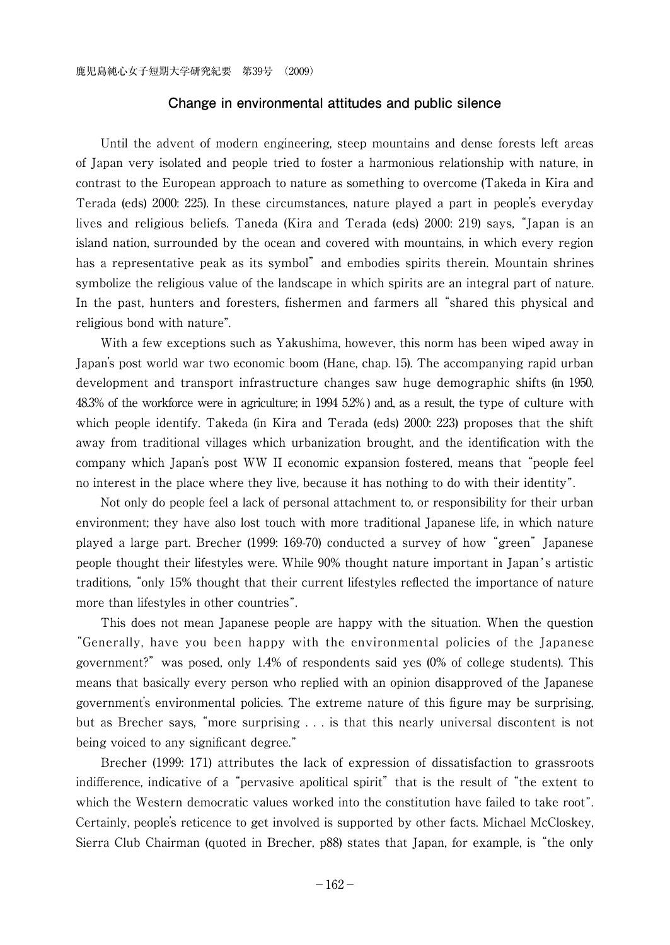#### **Change in environmental attitudes and public silence**

 Until the advent of modern engineering, steep mountains and dense forests left areas of Japan very isolated and people tried to foster a harmonious relationship with nature, in contrast to the European approach to nature as something to overcome (Takeda in Kira and Terada (eds) 2000: 225). In these circumstances, nature played a part in people's everyday lives and religious beliefs. Taneda (Kira and Terada (eds) 2000: 219) says, "Japan is an island nation, surrounded by the ocean and covered with mountains, in which every region has a representative peak as its symbol"and embodies spirits therein. Mountain shrines symbolize the religious value of the landscape in which spirits are an integral part of nature. In the past, hunters and foresters, fishermen and farmers all "shared this physical and religious bond with nature".

 With a few exceptions such as Yakushima, however, this norm has been wiped away in Japan's post world war two economic boom (Hane, chap. 15). The accompanying rapid urban development and transport infrastructure changes saw huge demographic shifts (in 1950, 48.3% of the workforce were in agriculture; in 1994 5.2% ) and, as a result, the type of culture with which people identify. Takeda (in Kira and Terada (eds) 2000: 223) proposes that the shift away from traditional villages which urbanization brought, and the identification with the company which Japan's post WW II economic expansion fostered, means that "people feel no interest in the place where they live, because it has nothing to do with their identity".

 Not only do people feel a lack of personal attachment to, or responsibility for their urban environment; they have also lost touch with more traditional Japanese life, in which nature played a large part. Brecher (1999: 169-70) conducted a survey of how "green" Japanese people thought their lifestyles were. While 90% thought nature important in Japan's artistic traditions, "only 15% thought that their current lifestyles reflected the importance of nature more than lifestyles in other countries".

 This does not mean Japanese people are happy with the situation. When the question "Generally, have you been happy with the environmental policies of the Japanese government?"was posed, only 1.4% of respondents said yes (0% of college students). This means that basically every person who replied with an opinion disapproved of the Japanese government's environmental policies. The extreme nature of this figure may be surprising, but as Brecher says, "more surprising . . . is that this nearly universal discontent is not being voiced to any significant degree."

 Brecher (1999: 171) attributes the lack of expression of dissatisfaction to grassroots indifference, indicative of a "pervasive apolitical spirit" that is the result of "the extent to which the Western democratic values worked into the constitution have failed to take root". Certainly, people's reticence to get involved is supported by other facts. Michael McCloskey, Sierra Club Chairman (quoted in Brecher, p88) states that Japan, for example, is "the only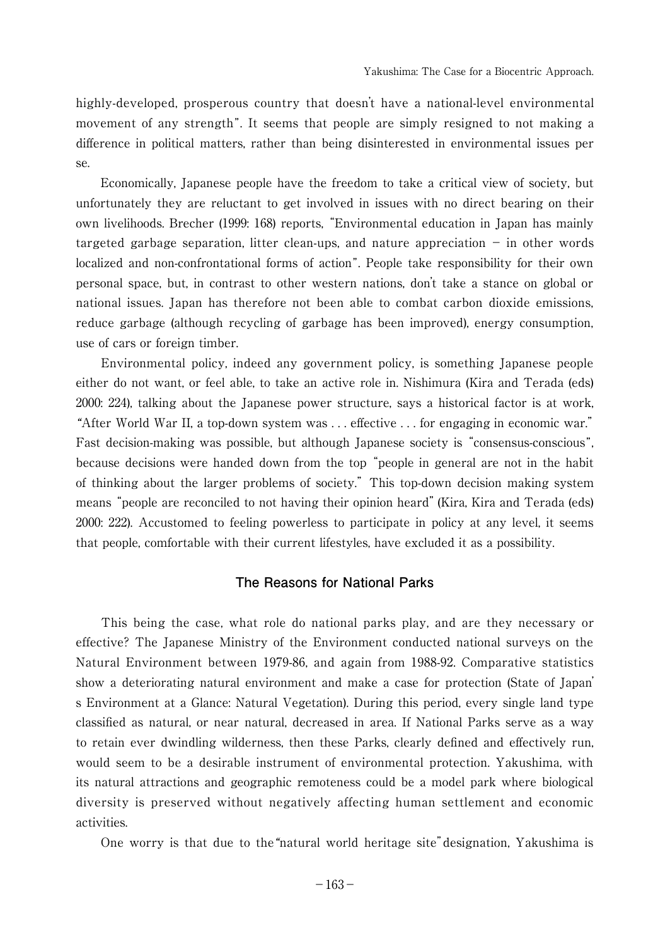highly-developed, prosperous country that doesn't have a national-level environmental movement of any strength". It seems that people are simply resigned to not making a difference in political matters, rather than being disinterested in environmental issues per se.

 Economically, Japanese people have the freedom to take a critical view of society, but unfortunately they are reluctant to get involved in issues with no direct bearing on their own livelihoods. Brecher (1999: 168) reports, "Environmental education in Japan has mainly targeted garbage separation, litter clean-ups, and nature appreciation  $-$  in other words localized and non-confrontational forms of action". People take responsibility for their own personal space, but, in contrast to other western nations, don't take a stance on global or national issues. Japan has therefore not been able to combat carbon dioxide emissions, reduce garbage (although recycling of garbage has been improved), energy consumption, use of cars or foreign timber.

 Environmental policy, indeed any government policy, is something Japanese people either do not want, or feel able, to take an active role in. Nishimura (Kira and Terada (eds) 2000: 224), talking about the Japanese power structure, says a historical factor is at work, "After World War II, a top-down system was . . . effective . . . for engaging in economic war." Fast decision-making was possible, but although Japanese society is "consensus-conscious", because decisions were handed down from the top "people in general are not in the habit of thinking about the larger problems of society."This top-down decision making system means "people are reconciled to not having their opinion heard"(Kira, Kira and Terada (eds) 2000: 222). Accustomed to feeling powerless to participate in policy at any level, it seems that people, comfortable with their current lifestyles, have excluded it as a possibility.

## **The Reasons for National Parks**

 This being the case, what role do national parks play, and are they necessary or effective? The Japanese Ministry of the Environment conducted national surveys on the Natural Environment between 1979-86, and again from 1988-92. Comparative statistics show a deteriorating natural environment and make a case for protection (State of Japan' s Environment at a Glance: Natural Vegetation). During this period, every single land type classified as natural, or near natural, decreased in area. If National Parks serve as a way to retain ever dwindling wilderness, then these Parks, clearly defined and effectively run, would seem to be a desirable instrument of environmental protection. Yakushima, with its natural attractions and geographic remoteness could be a model park where biological diversity is preserved without negatively affecting human settlement and economic activities.

One worry is that due to the"natural world heritage site"designation, Yakushima is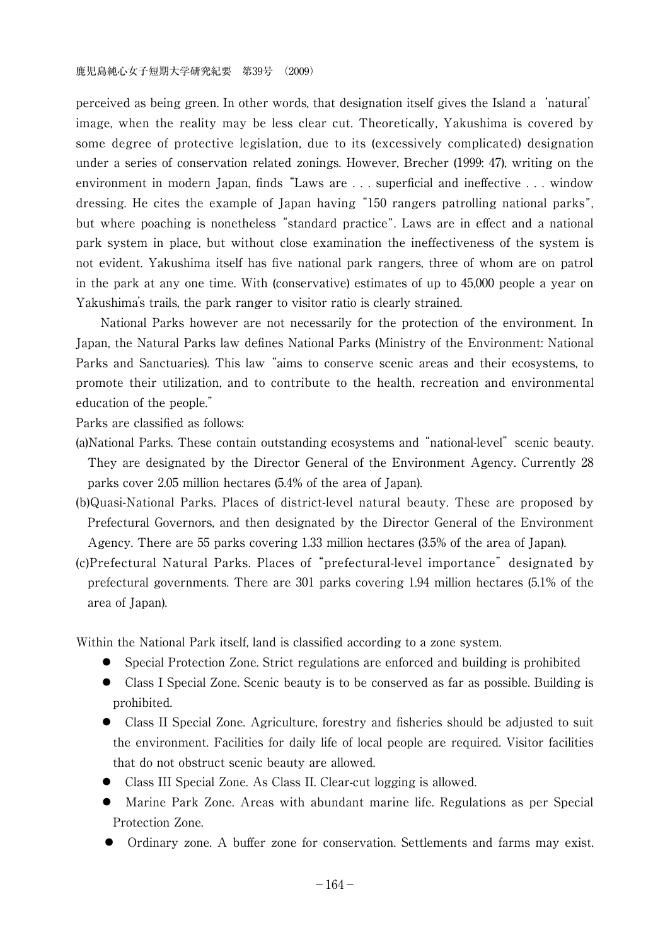perceived as being green. In other words, that designation itself gives the Island a'natural' image, when the reality may be less clear cut. Theoretically, Yakushima is covered by some degree of protective legislation, due to its (excessively complicated) designation under a series of conservation related zonings. However, Brecher (1999: 47), writing on the environment in modern Japan, finds "Laws are . . . superficial and ineffective . . . window dressing. He cites the example of Japan having "150 rangers patrolling national parks", but where poaching is nonetheless "standard practice". Laws are in effect and a national park system in place, but without close examination the ineffectiveness of the system is not evident. Yakushima itself has five national park rangers, three of whom are on patrol in the park at any one time. With (conservative) estimates of up to 45,000 people a year on Yakushima's trails, the park ranger to visitor ratio is clearly strained.

 National Parks however are not necessarily for the protection of the environment. In Japan, the Natural Parks law defines National Parks (Ministry of the Environment: National Parks and Sanctuaries). This law "aims to conserve scenic areas and their ecosystems, to promote their utilization, and to contribute to the health, recreation and environmental education of the people."

Parks are classified as follows:

- (a)National Parks. These contain outstanding ecosystems and "national-level" scenic beauty. They are designated by the Director General of the Environment Agency. Currently 28 parks cover 2.05 million hectares (5.4% of the area of Japan).
- (b)Quasi-National Parks. Places of district-level natural beauty. These are proposed by Prefectural Governors, and then designated by the Director General of the Environment Agency. There are 55 parks covering 1.33 million hectares (3.5% of the area of Japan).
- (c)Prefectural Natural Parks. Places of "prefectural-level importance"designated by prefectural governments. There are 301 parks covering 1.94 million hectares (5.1% of the area of Japan).

Within the National Park itself, land is classified according to a zone system.

- Special Protection Zone. Strict regulations are enforced and building is prohibited
- ◦ Class I Special Zone. Scenic beauty is to be conserved as far as possible. Building is prohibited.
- ◦ Class II Special Zone. Agriculture, forestry and fisheries should be adjusted to suit the environment. Facilities for daily life of local people are required. Visitor facilities that do not obstruct scenic beauty are allowed.
- Class III Special Zone. As Class II. Clear-cut logging is allowed.
- ◦ Marine Park Zone. Areas with abundant marine life. Regulations as per Special Protection Zone.
- Ordinary zone. A buffer zone for conservation. Settlements and farms may exist.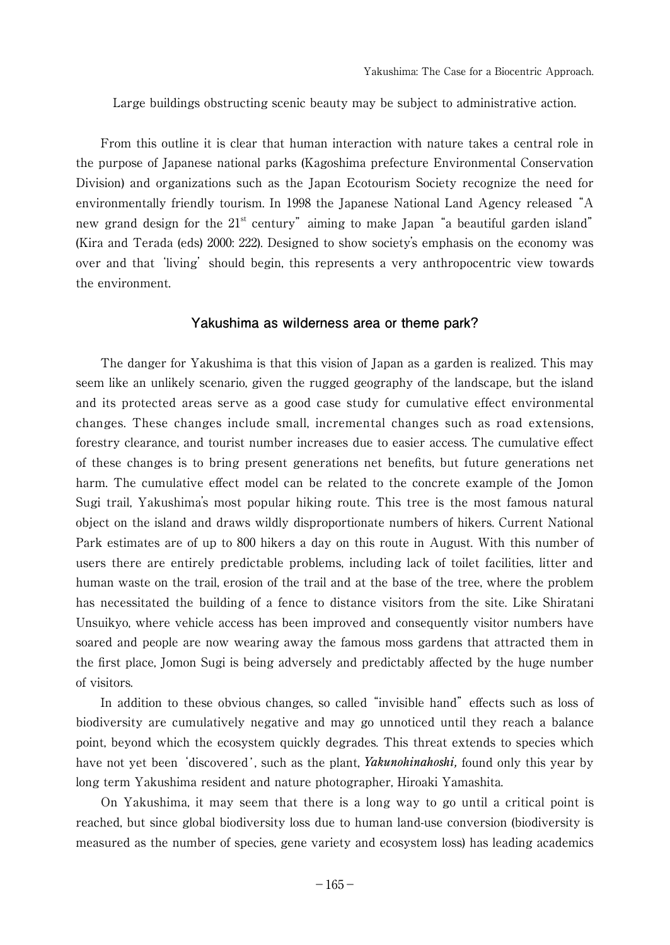Large buildings obstructing scenic beauty may be subject to administrative action.

 From this outline it is clear that human interaction with nature takes a central role in the purpose of Japanese national parks (Kagoshima prefecture Environmental Conservation Division) and organizations such as the Japan Ecotourism Society recognize the need for environmentally friendly tourism. In 1998 the Japanese National Land Agency released "A new grand design for the  $21<sup>st</sup>$  century" aiming to make Japan "a beautiful garden island" (Kira and Terada (eds) 2000: 222). Designed to show society's emphasis on the economy was over and that 'living' should begin, this represents a very anthropocentric view towards the environment.

## **Yakushima as wilderness area or theme park?**

 The danger for Yakushima is that this vision of Japan as a garden is realized. This may seem like an unlikely scenario, given the rugged geography of the landscape, but the island and its protected areas serve as a good case study for cumulative effect environmental changes. These changes include small, incremental changes such as road extensions, forestry clearance, and tourist number increases due to easier access. The cumulative effect of these changes is to bring present generations net benefits, but future generations net harm. The cumulative effect model can be related to the concrete example of the Jomon Sugi trail, Yakushima's most popular hiking route. This tree is the most famous natural object on the island and draws wildly disproportionate numbers of hikers. Current National Park estimates are of up to 800 hikers a day on this route in August. With this number of users there are entirely predictable problems, including lack of toilet facilities, litter and human waste on the trail, erosion of the trail and at the base of the tree, where the problem has necessitated the building of a fence to distance visitors from the site. Like Shiratani Unsuikyo, where vehicle access has been improved and consequently visitor numbers have soared and people are now wearing away the famous moss gardens that attracted them in the first place, Jomon Sugi is being adversely and predictably affected by the huge number of visitors.

 In addition to these obvious changes, so called "invisible hand"effects such as loss of biodiversity are cumulatively negative and may go unnoticed until they reach a balance point, beyond which the ecosystem quickly degrades. This threat extends to species which have not yet been 'discovered', such as the plant, *Yakunohinahoshi,* found only this year by long term Yakushima resident and nature photographer, Hiroaki Yamashita.

 On Yakushima, it may seem that there is a long way to go until a critical point is reached, but since global biodiversity loss due to human land-use conversion (biodiversity is measured as the number of species, gene variety and ecosystem loss) has leading academics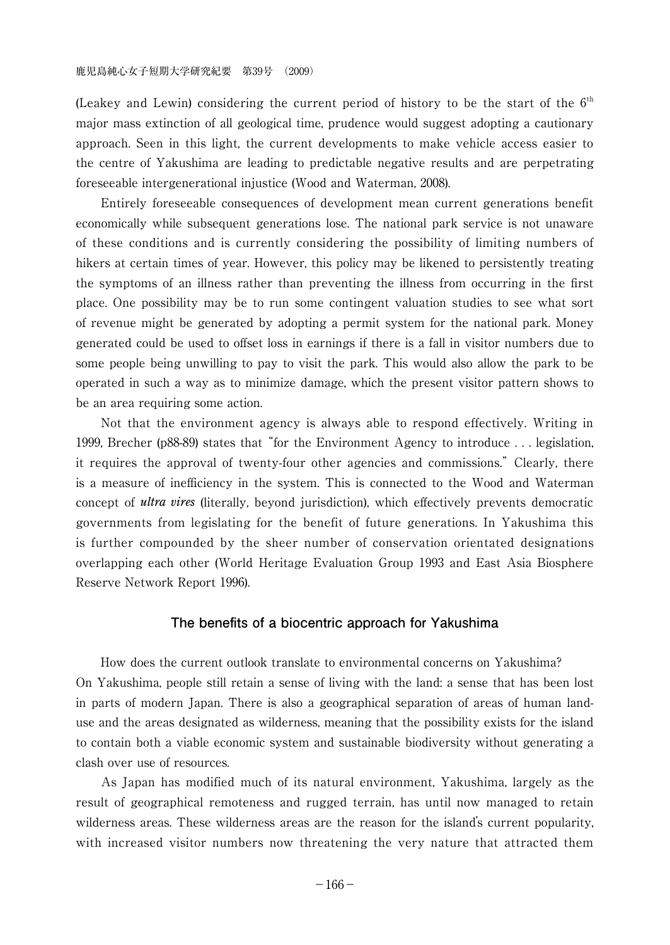(Leakey and Lewin) considering the current period of history to be the start of the  $6<sup>th</sup>$ major mass extinction of all geological time, prudence would suggest adopting a cautionary approach. Seen in this light, the current developments to make vehicle access easier to the centre of Yakushima are leading to predictable negative results and are perpetrating foreseeable intergenerational injustice (Wood and Waterman, 2008).

 Entirely foreseeable consequences of development mean current generations benefit economically while subsequent generations lose. The national park service is not unaware of these conditions and is currently considering the possibility of limiting numbers of hikers at certain times of year. However, this policy may be likened to persistently treating the symptoms of an illness rather than preventing the illness from occurring in the first place. One possibility may be to run some contingent valuation studies to see what sort of revenue might be generated by adopting a permit system for the national park. Money generated could be used to offset loss in earnings if there is a fall in visitor numbers due to some people being unwilling to pay to visit the park. This would also allow the park to be operated in such a way as to minimize damage, which the present visitor pattern shows to be an area requiring some action.

 Not that the environment agency is always able to respond effectively. Writing in 1999, Brecher (p88-89) states that "for the Environment Agency to introduce . . . legislation, it requires the approval of twenty-four other agencies and commissions." Clearly, there is a measure of inefficiency in the system. This is connected to the Wood and Waterman concept of *ultra vires* (literally, beyond jurisdiction), which effectively prevents democratic governments from legislating for the benefit of future generations. In Yakushima this is further compounded by the sheer number of conservation orientated designations overlapping each other (World Heritage Evaluation Group 1993 and East Asia Biosphere Reserve Network Report 1996).

#### **The benefits of a biocentric approach for Yakushima**

 How does the current outlook translate to environmental concerns on Yakushima? On Yakushima, people still retain a sense of living with the land: a sense that has been lost in parts of modern Japan. There is also a geographical separation of areas of human landuse and the areas designated as wilderness, meaning that the possibility exists for the island to contain both a viable economic system and sustainable biodiversity without generating a clash over use of resources.

 As Japan has modified much of its natural environment, Yakushima, largely as the result of geographical remoteness and rugged terrain, has until now managed to retain wilderness areas. These wilderness areas are the reason for the island's current popularity, with increased visitor numbers now threatening the very nature that attracted them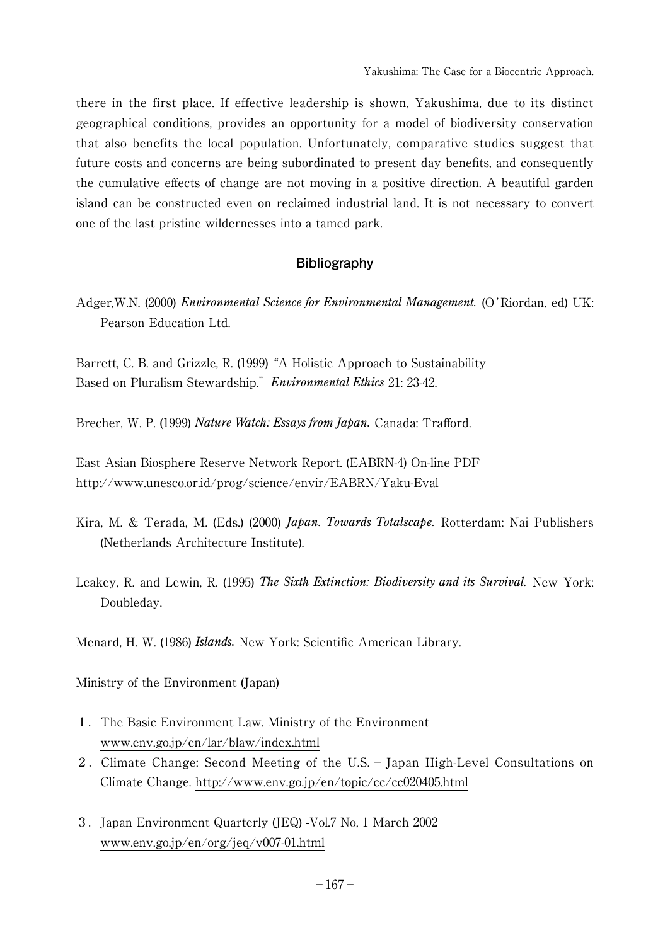there in the first place. If effective leadership is shown, Yakushima, due to its distinct geographical conditions, provides an opportunity for a model of biodiversity conservation that also benefits the local population. Unfortunately, comparative studies suggest that future costs and concerns are being subordinated to present day benefits, and consequently the cumulative effects of change are not moving in a positive direction. A beautiful garden island can be constructed even on reclaimed industrial land. It is not necessary to convert one of the last pristine wildernesses into a tamed park.

# **Bibliography**

Adger,W.N. (2000) *Environmental Science for Environmental Management.* (O'Riordan, ed) UK: Pearson Education Ltd.

Barrett, C. B. and Grizzle, R. (1999) "A Holistic Approach to Sustainability Based on Pluralism Stewardship."*Environmental Ethics* 21: 23-42.

Brecher, W. P. (1999) *Nature Watch: Essays from Japan.* Canada: Trafford.

East Asian Biosphere Reserve Network Report. (EABRN-4) On-line PDF http://www.unesco.or.id/prog/science/envir/EABRN/Yaku-Eval

- Kira, M. & Terada, M. (Eds.) (2000) *Japan. Towards Totalscape.* Rotterdam: Nai Publishers (Netherlands Architecture Institute).
- Leakey, R. and Lewin, R. (1995) *The Sixth Extinction: Biodiversity and its Survival.* New York: Doubleday.

Menard, H. W. (1986) *Islands.* New York: Scientific American Library.

Ministry of the Environment (Japan)

- 1.The Basic Environment Law. Ministry of the Environment www.env.go.jp/en/lar/blaw/index.html
- 2.Climate Change: Second Meeting of the U.S.-Japan High-Level Consultations on Climate Change. http://www.env.go.jp/en/topic/cc/cc020405.html
- 3.Japan Environment Quarterly (JEQ) -Vol.7 No, 1 March 2002 www.env.go.jp/en/org/jeq/v007-01.html